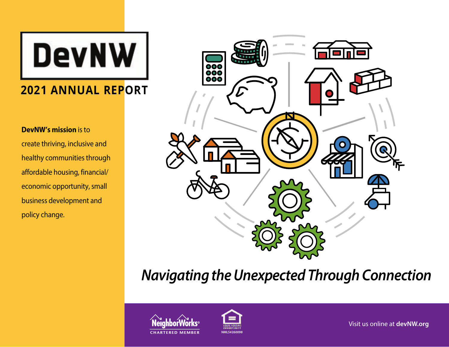**DevNW** 

# **2021 ANNUAL REPORT**

# **DevNW's mission** is to

create thriving, inclusive and healthy communities through affordable housing, financial/ economic opportunity, small business development and policy change.



# *Navigating the Unexpected Through Connection*



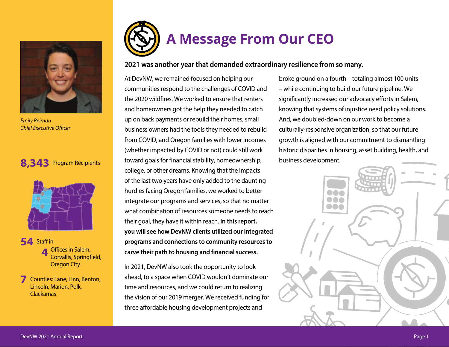

*Emily Reiman Chief Executive Officer*

# **8,343** Program Recipients



**54** Staff in **1996** Offices in Salem, **4** Offices in Salem, Corvallis, Springfield, Oregon City

**7** Counties: Lane, Linn, Benton, Lincoln, Marion, Polk, Clackamas



# **2021 was another year that demanded extraordinary resilience from so many.**

At DevNW, we remained focused on helping our communities respond to the challenges of COVID and the 2020 wildfires. We worked to ensure that renters and homeowners got the help they needed to catch up on back payments or rebuild their homes, small business owners had the tools they needed to rebuild from COVID, and Oregon families with lower incomes (whether impacted by COVID or not) could still work toward goals for financial stability, homeownership, college, or other dreams. Knowing that the impacts of the last two years have only added to the daunting hurdles facing Oregon families, we worked to better integrate our programs and services, so that no matter what combination of resources someone needs to reach their goal, they have it within reach. **In this report, you will see how DevNW clients utilized our integrated programs and connections to community resources to carve their path to housing and financial success.**

In 2021, DevNW also took the opportunity to look ahead, to a space when COVID wouldn't dominate our time and resources, and we could return to realizing the vision of our 2019 merger. We received funding for three affordable housing development projects and

broke ground on a fourth – totaling almost 100 units – while continuing to build our future pipeline. We significantly increased our advocacy efforts in Salem, knowing that systems of injustice need policy solutions. And, we doubled-down on our work to become a culturally-responsive organization, so that our future growth is aligned with our commitment to dismantling historic disparities in housing, asset building, health, and business development.

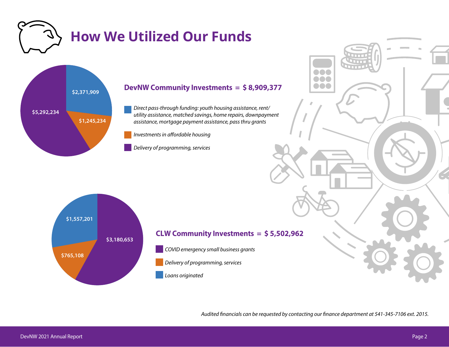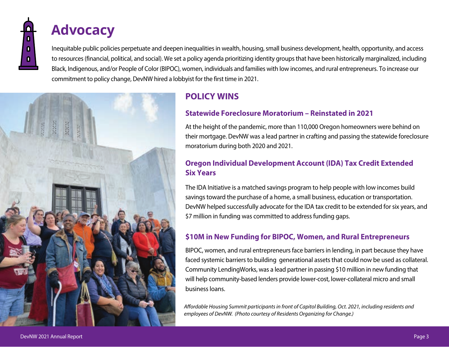# **Advocacy**

Inequitable public policies perpetuate and deepen inequalities in wealth, housing, small business development, health, opportunity, and access to resources (financial, political, and social). We set a policy agenda prioritizing identity groups that have been historically marginalized, including Black, Indigenous, and/or People of Color (BIPOC), women, individuals and families with low incomes, and rural entrepreneurs. To increase our commitment to policy change, DevNW hired a lobbyist for the first time in 2021.



# **POLICY WINS**

# **Statewide Foreclosure Moratorium – Reinstated in 2021**

At the height of the pandemic, more than 110,000 Oregon homeowners were behind on their mortgage. DevNW was a lead partner in crafting and passing the statewide foreclosure moratorium during both 2020 and 2021.

# **Oregon Individual Development Account (IDA) Tax Credit Extended Six Years**

The IDA Initiative is a matched savings program to help people with low incomes build savings toward the purchase of a home, a small business, education or transportation. DevNW helped successfully advocate for the IDA tax credit to be extended for six years, and \$7 million in funding was committed to address funding gaps.

# **\$10M in New Funding for BIPOC, Women, and Rural Entrepreneurs**

BIPOC, women, and rural entrepreneurs face barriers in lending, in part because they have faced systemic barriers to building generational assets that could now be used as collateral. Community LendingWorks, was a lead partner in passing \$10 million in new funding that will help community-based lenders provide lower-cost, lower-collateral micro and small business loans.

*Affordable Housing Summit participants in front of Capitol Building, Oct. 2021, including residents and employees of DevNW. (Photo courtesy of Residents Organizing for Change.)*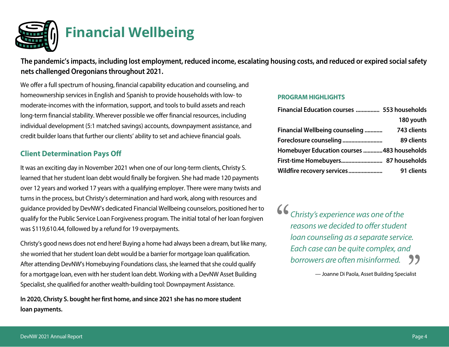

**The pandemic's impacts, including lost employment, reduced income, escalating housing costs, and reduced or expired social safety nets challenged Oregonians throughout 2021.**

We offer a full spectrum of housing, financial capability education and counseling, and homeownership services in English and Spanish to provide households with low- to moderate-incomes with the information, support, and tools to build assets and reach long-term financial stability. Wherever possible we offer financial resources, including individual development (5:1 matched savings) accounts, downpayment assistance, and credit builder loans that further our clients' ability to set and achieve financial goals.

# **Client Determination Pays Off**

It was an exciting day in November 2021 when one of our long-term clients, Christy S. learned that her student loan debt would finally be forgiven. She had made 120 payments over 12 years and worked 17 years with a qualifying employer. There were many twists and turns in the process, but Christy's determination and hard work, along with resources and guidance provided by DevNW's dedicated Financial Wellbeing counselors, positioned her to qualify for the Public Service Loan Forgiveness program. The initial total of her loan forgiven was \$119,610.44, followed by a refund for 19 overpayments.

Christy's good news does not end here! Buying a home had always been a dream, but like many, she worried that her student loan debt would be a barrier for mortgage loan qualification. After attending DevNW's Homebuying Foundations class, she learned that she could qualify for a mortgage loan, even with her student loan debt. Working with a DevNW Asset Building Specialist, she qualified for another wealth-building tool: Downpayment Assistance.

**In 2020, Christy S. bought her first home, and since 2021 she has no more student loan payments.**

## **PROGRAM HIGHLIGHTS**

| Financial Education courses  553 households |             |
|---------------------------------------------|-------------|
|                                             | 180 youth   |
| <b>Financial Wellbeing counseling </b>      | 743 clients |
|                                             | 89 clients  |
| Homebuyer Education courses 483 households  |             |
|                                             |             |
| Wildfire recovery services                  | 91 clients  |

*Christy's experience was one of the reasons we decided to offer student loan counseling as a separate service. Each case can be quite complex, and borrowers are often misinformed.*

— Joanne Di Paola, Asset Building Specialist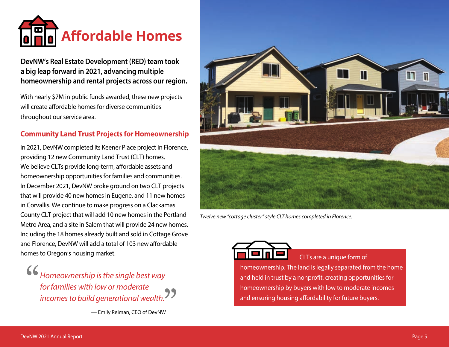

# **DevNW's Real Estate Development (RED) team took a big leap forward in 2021, advancing multiple homeownership and rental projects across our region.**

With nearly \$7M in public funds awarded, these new projects will create affordable homes for diverse communities throughout our service area.

# **Community Land Trust Projects for Homeownership**

In 2021, DevNW completed its Keener Place project in Florence, providing 12 new Community Land Trust (CLT) homes. We believe CLTs provide long-term, affordable assets and homeownership opportunities for families and communities. In December 2021, DevNW broke ground on two CLT projects that will provide 40 new homes in Eugene, and 11 new homes in Corvallis. We continue to make progress on a Clackamas County CLT project that will add 10 new homes in the Portland Metro Area, and a site in Salem that will provide 24 new homes. Including the 18 homes already built and sold in Cottage Grove and Florence, DevNW will add a total of 103 new affordable homes to Oregon's housing market.

*Homeownership is the single best way for families with low or moderate incomes to build generational wealth.*

— Emily Reiman, CEO of DevNW



*Twelve new "cottage cluster" style CLT homes completed in Florence.*

CLTs are a unique form of

homeownership. The land is legally separated from the home and held in trust by a nonprofit, creating opportunities for homeownership by buyers with low to moderate incomes and ensuring housing affordability for future buyers.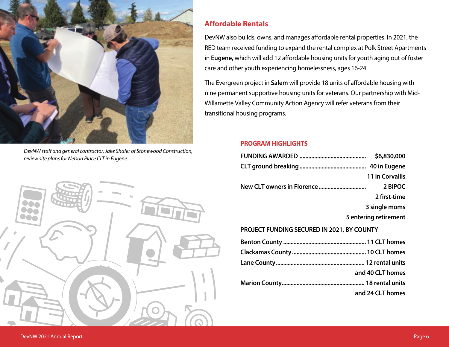

*DevNW staff and general contractor, Jake Shafer of Stonewood Construction, review site plans for Nelson Place CLT in Eugene.*



# **Affordable Rentals**

DevNW also builds, owns, and manages affordable rental properties. In 2021, the RED team received funding to expand the rental complex at Polk Street Apartments in **Eugene,** which will add 12 affordable housing units for youth aging out of foster care and other youth experiencing homelessness, ages 16-24.

The Evergreen project in **Salem** will provide 18 units of affordable housing with nine permanent supportive housing units for veterans. Our partnership with Mid-Willamette Valley Community Action Agency will refer veterans from their transitional housing programs.

# **PROGRAM HIGHLIGHTS**

|                                                   | \$6,830,000            |
|---------------------------------------------------|------------------------|
|                                                   |                        |
|                                                   | <b>11 in Corvallis</b> |
|                                                   | 2 BIPOC                |
|                                                   | 2 first-time           |
|                                                   | 3 single moms          |
|                                                   | 5 entering retirement  |
| <b>PROJECT FUNDING SECURED IN 2021, BY COUNTY</b> |                        |
|                                                   |                        |
|                                                   |                        |
|                                                   |                        |

**Marion County........................................................ 18 rental units**

**.............................................................................and 24 CLT homes**

**.............................................................................and 40 CLT homes**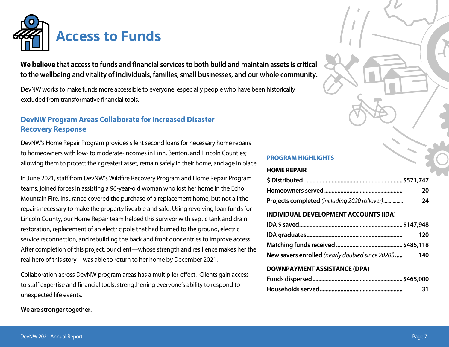

**We believe that access to funds and financial services to both build and maintain assets is critical to the wellbeing and vitality of individuals, families, small businesses, and our whole community.** 

DevNW works to make funds more accessible to everyone, especially people who have been historically excluded from transformative financial tools.

# **DevNW Program Areas Collaborate for Increased Disaster Recovery Response**

DevNW's Home Repair Program provides silent second loans for necessary home repairs to homeowners with low- to moderate-incomes in Linn, Benton, and Lincoln Counties; allowing them to protect their greatest asset, remain safely in their home, and age in place.

In June 2021, staff from DevNW's Wildfire Recovery Program and Home Repair Program teams, joined forces in assisting a 96-year-old woman who lost her home in the Echo Mountain Fire. Insurance covered the purchase of a replacement home, but not all the repairs necessary to make the property liveable and safe. Using revolving loan funds for Lincoln County, our Home Repair team helped this survivor with septic tank and drain restoration, replacement of an electric pole that had burned to the ground, electric service reconnection, and rebuilding the back and front door entries to improve access. After completion of this project, our client—whose strength and resilience makes her the real hero of this story—was able to return to her home by December 2021.

Collaboration across DevNW program areas has a multiplier-effect. Clients gain access to staff expertise and financial tools, strengthening everyone's ability to respond to unexpected life events.

# **We are stronger together.**

## **PROGRAM HIGHLIGHTS**

### **HOME REPAIR**

|                                              | -20 |
|----------------------------------------------|-----|
| Projects completed (including 2020 rollover) | 24  |

## **INDIVIDUAL DEVELOPMENT ACCOUNTS (IDA**)

|                                                  | 120 |
|--------------------------------------------------|-----|
|                                                  |     |
| New savers enrolled (nearly doubled since 2020!) | 140 |

# **DOWNPAYMENT ASSISTANCE (DPA)**

| 31 |
|----|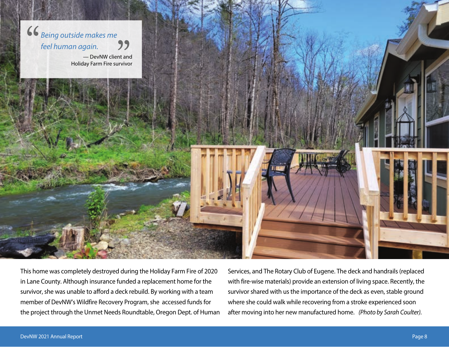

This home was completely destroyed during the Holiday Farm Fire of 2020 in Lane County. Although insurance funded a replacement home for the survivor, she was unable to afford a deck rebuild. By working with a team member of DevNW's Wildfire Recovery Program, she accessed funds for the project through the Unmet Needs Roundtable, Oregon Dept. of Human Services, and The Rotary Club of Eugene. The deck and handrails (replaced with fire-wise materials) provide an extension of living space. Recently, the survivor shared with us the importance of the deck as even, stable ground where she could walk while recovering from a stroke experienced soon after moving into her new manufactured home. *(Photo by Sarah Coulter).*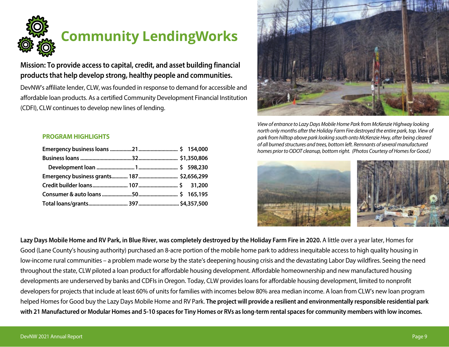

# **Community LendingWorks**

# **Mission: To provide access to capital, credit, and asset building financial products that help develop strong, healthy people and communities.**

DevNW's affiliate lender, CLW, was founded in response to demand for accessible and affordable loan products. As a certified Community Development Financial Institution (CDFI), CLW continues to develop new lines of lending.



*View of entrance to Lazy Days Mobile Home Park from McKenzie Highway looking north only months after the Holiday Farm Fire destroyed the entire park, top. View of park from hilltop above park looking south onto McKenzie Hwy, after being cleared of all burned structures and trees, bottom left. Remnants of several manufactured homes prior to ODOT cleanup, bottom right. (Photos Courtesy of Homes for Good.)*



**Lazy Days Mobile Home and RV Park, in Blue River, was completely destroyed by the Holiday Farm Fire in 2020.** A little over a year later, Homes for Good (Lane County's housing authority) purchased an 8-acre portion of the mobile home park to address inequitable access to high quality housing in low-income rural communities – a problem made worse by the state's deepening housing crisis and the devastating Labor Day wildfires. Seeing the need throughout the state, CLW piloted a loan product for affordable housing development. Affordable homeownership and new manufactured housing developments are underserved by banks and CDFIs in Oregon. Today, CLW provides loans for affordable housing development, limited to nonprofit developers for projects that include at least 60% of units for families with incomes below 80% area median income. A loan from CLW's new loan program helped Homes for Good buy the Lazy Days Mobile Home and RV Park. **The project will provide a resilient and environmentally responsible residential park with 21 Manufactured or Modular Homes and 5-10 spaces for Tiny Homes or RVs as long-term rental spaces for community members with low incomes.** 

# **PROGRAM HIGHLIGHTS**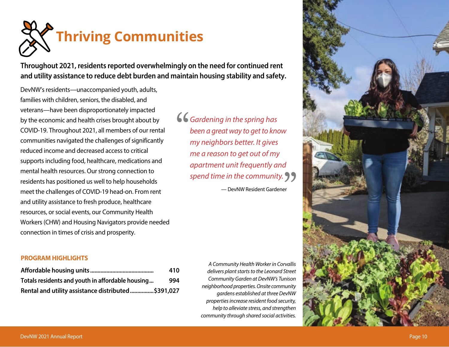

**Throughout 2021, residents reported overwhelmingly on the need for continued rent and utility assistance to reduce debt burden and maintain housing stability and safety.**

DevNW's residents—unaccompanied youth, adults, families with children, seniors, the disabled, and veterans—have been disproportionately impacted by the economic and health crises brought about by COVID-19. Throughout 2021, all members of our rental communities navigated the challenges of significantly reduced income and decreased access to critical supports including food, healthcare, medications and mental health resources. Our strong connection to residents has positioned us well to help households meet the challenges of COVID-19 head-on. From rent and utility assistance to fresh produce, healthcare resources, or social events, our Community Health Workers (CHW) and Housing Navigators provide needed connection in times of crisis and prosperity.

## **PROGRAM HIGHLIGHTS**

|                                                    | 410 |
|----------------------------------------------------|-----|
| Totals residents and youth in affordable housing   | 994 |
| Rental and utility assistance distributed\$391,027 |     |

*Gardening in the spring has been a great way to get to know my neighbors better. It gives me a reason to get out of my apartment unit frequently and spend time in the community.*

— DevNW Resident Gardener

*A Community Health Worker in Corvallis delivers plant starts to the Leonard Street Community Garden at DevNW's Tunison neighborhood properties. Onsite community gardens established at three DevNW properties increase resident food security, help to alleviate stress, and strengthen community through shared social activities.*

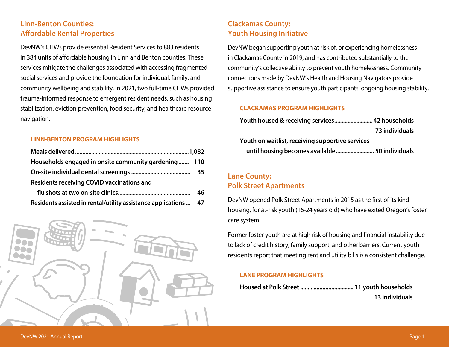# **Linn-Benton Counties: Affordable Rental Properties**

DevNW's CHWs provide essential Resident Services to 883 residents in 384 units of affordable housing in Linn and Benton counties. These services mitigate the challenges associated with accessing fragmented social services and provide the foundation for individual, family, and community wellbeing and stability. In 2021, two full-time CHWs provided trauma-informed response to emergent resident needs, such as housing stabilization, eviction prevention, food security, and healthcare resource navigation.

# **LINN-BENTON PROGRAM HIGHLIGHTS**

| Households engaged in onsite community gardening 110             |    |
|------------------------------------------------------------------|----|
|                                                                  |    |
| <b>Residents receiving COVID vaccinations and</b>                |    |
|                                                                  | 46 |
| Residents assisted in rental/utility assistance applications  47 |    |



# **Clackamas County: Youth Housing Initiative**

DevNW began supporting youth at risk of, or experiencing homelessness in Clackamas County in 2019, and has contributed substantially to the community's collective ability to prevent youth homelessness. Community connections made by DevNW's Health and Housing Navigators provide supportive assistance to ensure youth participants' ongoing housing stability.

# **CLACKAMAS PROGRAM HIGHLIGHTS**

|                                                  | 73 individuals |
|--------------------------------------------------|----------------|
| Youth on waitlist, receiving supportive services |                |
| until housing becomes available 50 individuals   |                |

# **Lane County: Polk Street Apartments**

DevNW opened Polk Street Apartments in 2015 as the first of its kind housing, for at-risk youth (16-24 years old) who have exited Oregon's foster care system.

Former foster youth are at high risk of housing and financial instability due to lack of credit history, family support, and other barriers. Current youth residents report that meeting rent and utility bills is a consistent challenge.

# **LANE PROGRAM HIGHLIGHTS**

| 13 individuals |
|----------------|